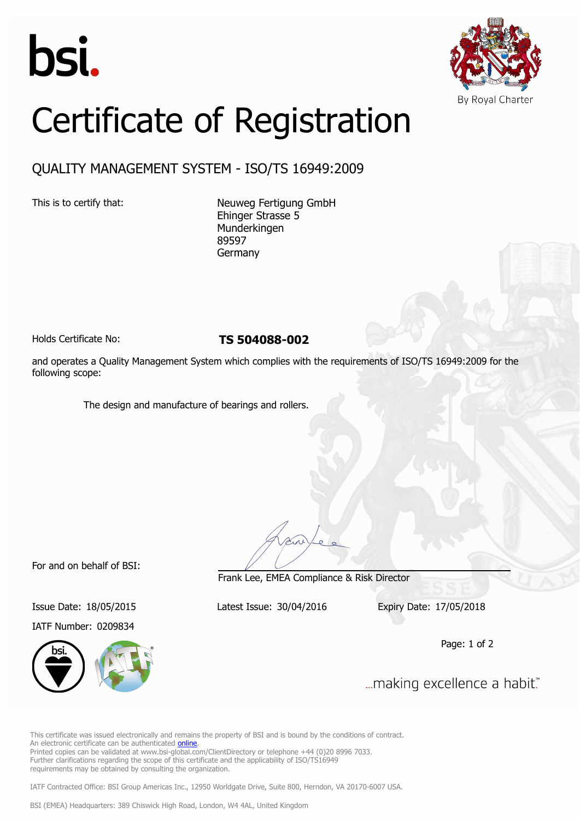



## Certificate of Registration

## QUALITY MANAGEMENT SYSTEM - ISO/TS 16949:2009

This is to certify that: Neuweg Fertigung GmbH Ehinger Strasse 5 Munderkingen 89597 Germany

Holds Certificate No: **TS 504088-002**

and operates a Quality Management System which complies with the requirements of ISO/TS 16949:2009 for the following scope:

The design and manufacture of bearings and rollers.

For and on behalf of BSI:

IATF Number: 0209834



Frank Lee, EMEA Compliance & Risk Director

Issue Date: 18/05/2015 Latest Issue: 30/04/2016 Expiry Date: 17/05/2018

Page: 1 of 2

... making excellence a habit."

This certificate was issued electronically and remains the property of BSI and is bound by the conditions of contract. An electronic certificate can be authenticated [online](https://pgplus.bsigroup.com/CertificateValidation/CertificateValidator.aspx?CertificateNumber=TS+504088-002&ReIssueDate=30%2f04%2f2016&Template=cemea_en). Printed copies can be validated at www.bsi-global.com/ClientDirectory or telephone +44 (0)20 8996 7033. Further clarifications regarding the scope of this certificate and the applicability of ISO/TS16949 requirements may be obtained by consulting the organization.

IATF Contracted Office: BSI Group Americas Inc., 12950 Worldgate Drive, Suite 800, Herndon, VA 20170-6007 USA.

BSI (EMEA) Headquarters: 389 Chiswick High Road, London, W4 4AL, United Kingdom